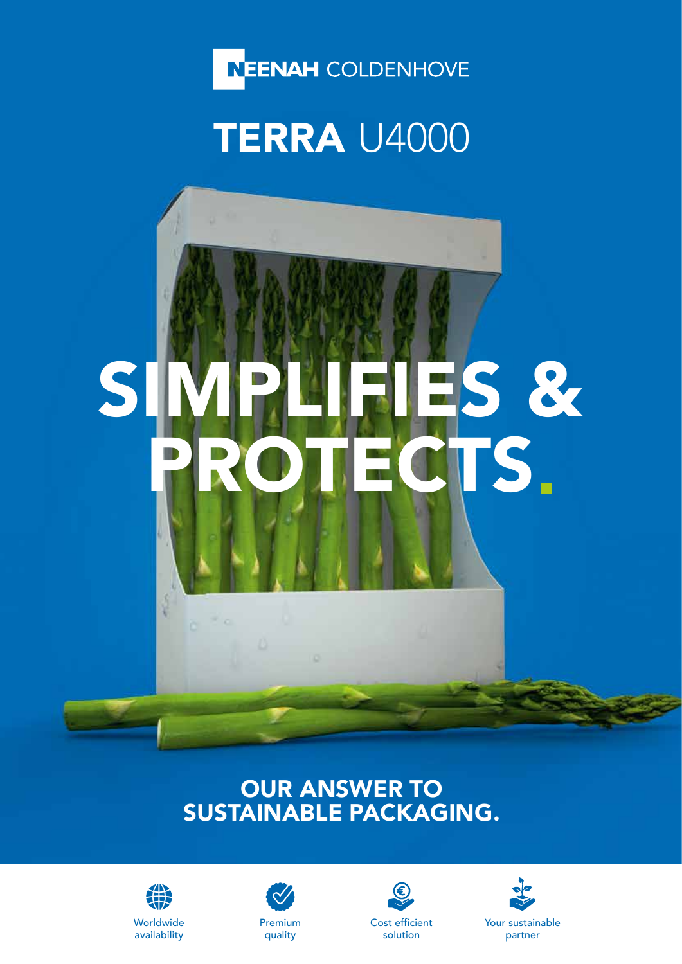

# TERRA U4000



### OUR ANSWER TO SUSTAINABLE PACKAGING.